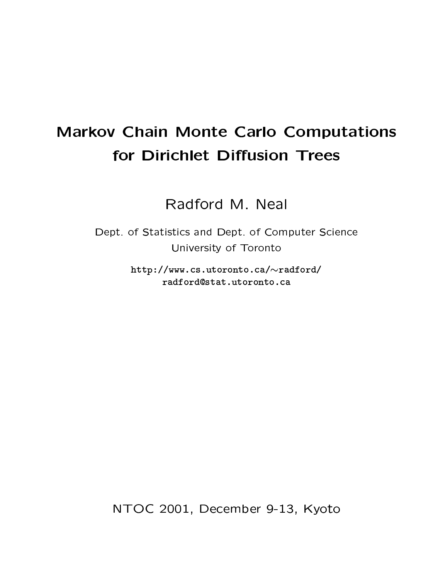### **Markov Chain Monte Carlo Computations** for Dirichlet Diffusion Trees

Radford M. Neal

Dept. of Statistics and Dept. of Computer Science University of Toronto

> http://www.cs.utoronto.ca/~radford/ radford@stat.utoronto.ca

NTOC 2001, December 9-13, Kyoto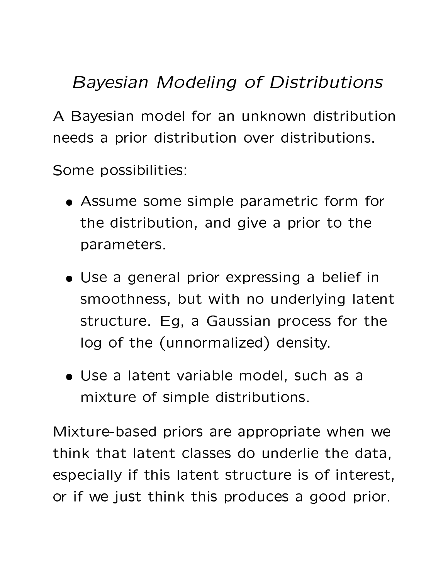## **Bayesian Modeling of Distributions**

A Bayesian model for an unknown distribution needs a prior distribution over distributions.

Some possibilities:

- Assume some simple parametric form for the distribution, and give a prior to the parameters.
- Use a general prior expressing a belief in smoothness, but with no underlying latent structure. Eg, a Gaussian process for the log of the (unnormalized) density.
- · Use a latent variable model, such as a mixture of simple distributions.

Mixture-based priors are appropriate when we think that latent classes do underlie the data, especially if this latent structure is of interest, or if we just think this produces a good prior.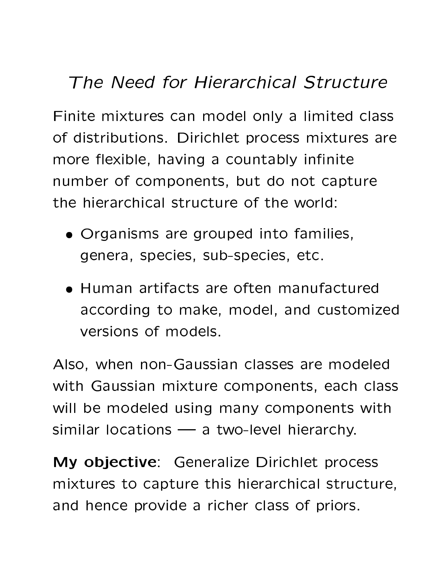## The Need for Hierarchical Structure

Finite mixtures can model only a limited class of distributions. Dirichlet process mixtures are more flexible, having a countably infinite number of components, but do not capture the hierarchical structure of the world:

- Organisms are grouped into families, genera, species, sub-species, etc.
- Human artifacts are often manufactured according to make, model, and customized versions of models.

Also, when non-Gaussian classes are modeled with Gaussian mixture components, each class will be modeled using many components with similar locations  $\longrightarrow$  a two-level hierarchy.

My objective: Generalize Dirichlet process mixtures to capture this hierarchical structure, and hence provide a richer class of priors.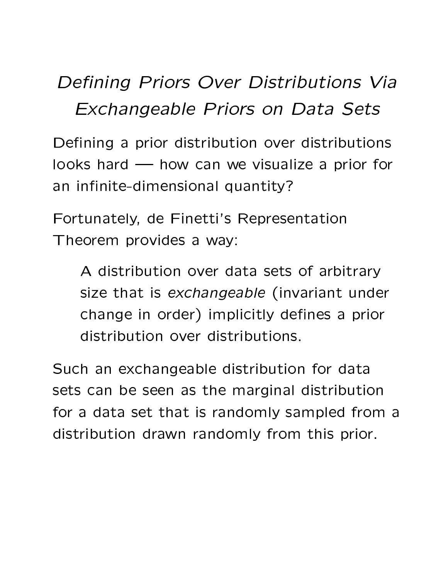## -! - !"# 5 " -! Z

 ? ,Y\*A,]U <sup>2</sup> ?D9@\*m7,9 35\*6(87 9@\*A:1/<7\*m7=, 7YB4? <sup>9</sup> 35\*6(87 9@\*A:1/<7\*m7=,H(  $I$ ooks hard  $\longrightarrow$  how can we visualize a prior for an infinite-dimensional quantity?

Fortunately, de Finetti's Representation Theorem provides a way:

 $\bullet$  35.6  $\bullet$  35.6  $\bullet$  3.7  $\bullet$  3.7  $\bullet$  9.7  $\bullet$  9.7  $\bullet$  9.7  $\bullet$  9.7  $\bullet$  9.7  $\bullet$  9.7  $\bullet$  9.7  $\bullet$  9.7  $\bullet$  9.7  $\bullet$  9.7  $\bullet$  9.7  $\bullet$  9.7  $\bullet$  9.7  $\bullet$  9.7  $\bullet$  9.7  $\bullet$  9.7  $\bullet$  9.7  $\bullet$  9.7  $\bullet$  9.7  $\bullet$  9.7  $\bullet$ size that is exchangeable (invariant under change in order) implicitly defines a prior distribution over distributions.

 $\blacksquare$  . [MYP`2-,  $\blacksquare$  . [MYP`2-1]  $\blacksquare$  . [MYP`2-1]  $\blacksquare$  . [MYP`2-1]  $\blacksquare$  . [MYP]  $\blacksquare$  . [MYP]  $\blacksquare$  . [MYP]  $\blacksquare$  . [MYP]  $\blacksquare$  . [MYP] . [MYP] . [MYP] . [MYP] . [MYP] . [MYP] . [MYP] . [MYP] . [MYP] . [MYP] sets can be seen as the marginal distribution for a data set that is randomly sampled from a distribution drawn randomly from this prior.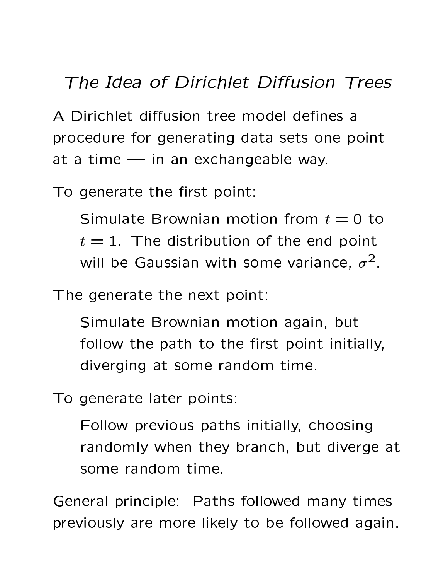#### The Idea of Dirichlet Diffusion Trees

A Dirichlet diffusion tree model defines a procedure for generating data sets one point at a time  $-$  in an exchangeable way.

To generate the first point:

Simulate Brownian motion from  $t = 0$  to  $t=1$ . The distribution of the end-point will be Gaussian with some variance,  $\sigma^2$ .

The generate the next point:

Simulate Brownian motion again, but follow the path to the first point initially, diverging at some random time.

To generate later points:

Follow previous paths initially, choosing randomly when they branch, but diverge at some random time.

General principle: Paths followed many times previously are more likely to be followed again.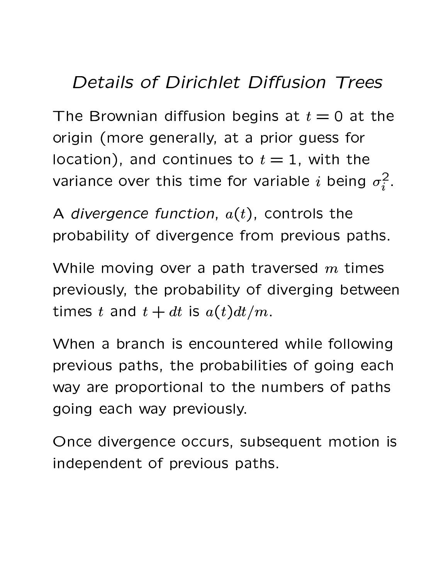#### **Details of Dirichlet Diffusion Trees**

The Brownian diffusion begins at  $t=0$  at the origin (more generally, at a prior guess for location), and continues to  $t=1$ , with the variance over this time for variable *i* being  $\sigma_i^2$ .

A divergence function,  $a(t)$ , controls the probability of divergence from previous paths.

While moving over a path traversed  $m$  times previously, the probability of diverging between times t and  $t + dt$  is  $a(t)dt/m$ .

When a branch is encountered while following previous paths, the probabilities of going each way are proportional to the numbers of paths going each way previously.

Once divergence occurs, subsequent motion is independent of previous paths.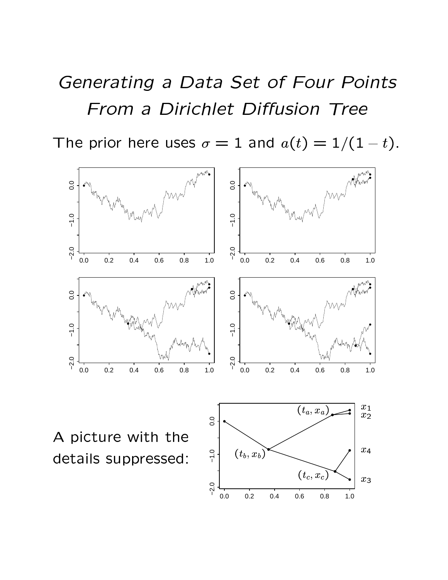## "" " Z - - Z - !

 $\blacksquare$  .  $\blacksquare$ 

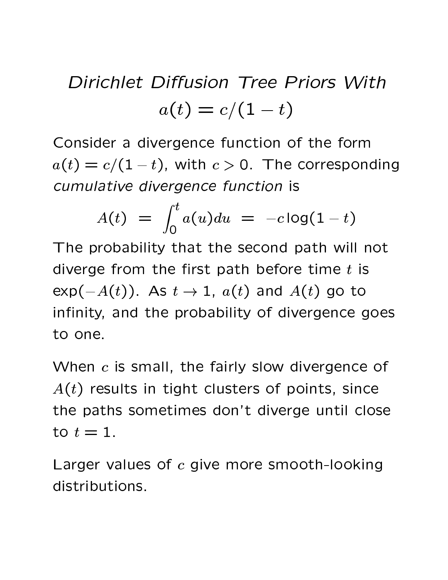# Dirichlet Diffusion Tree Priors With  $a(t) = c/(1-t)$

Consider a divergence function of the form  $a(t) = c/(1-t)$ , with  $c > 0$ . The corresponding cumulative divergence function is

$$
A(t) = \int_0^t a(u) du = -c \log(1-t)
$$

The probability that the second path will not diverge from the first path before time  $t$  is  $\exp(-A(t))$ . As  $t \to 1$ ,  $a(t)$  and  $A(t)$  go to infinity, and the probability of divergence goes to one.

When  $c$  is small, the fairly slow divergence of  $A(t)$  results in tight clusters of points, since the paths sometimes don't diverge until close to  $t=1$ .

Larger values of c give more smooth-looking distributions.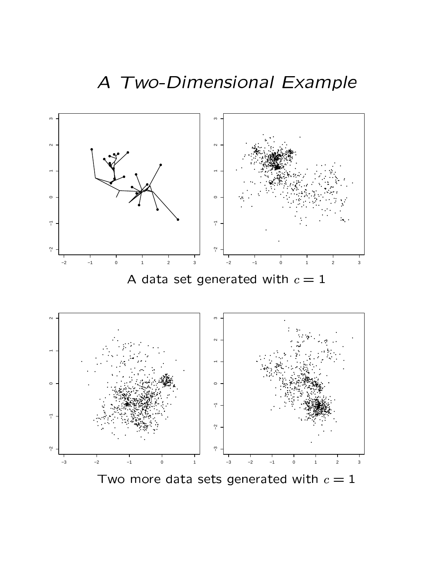

 $\blacksquare$  and  $\blacksquare$  and  $\blacksquare$  and  $\blacksquare$  and  $\blacksquare$  . Then  $\blacksquare$  is the set of  $\blacksquare$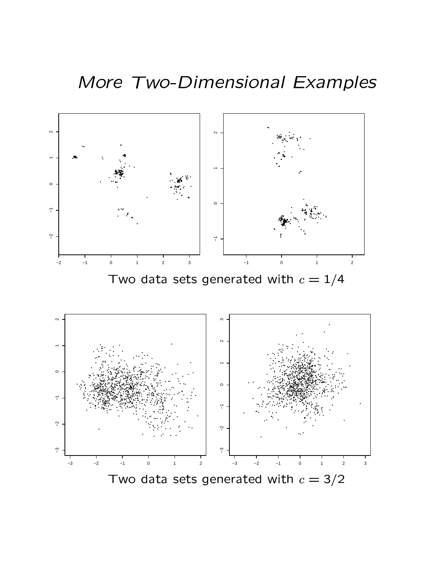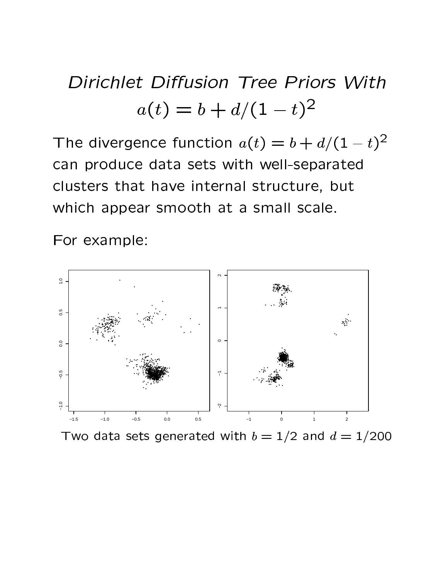## Dirichlet Diffusion Tree Priors With  $a(t) = b + d/(1-t)^2$

The divergence function  $a(t) = b + d/(1-t)^2$ can produce data sets with well-separated clusters that have internal structure, but which appear smooth at a small scale.

For example:



Two data sets generated with  $b = 1/2$  and  $d = 1/200$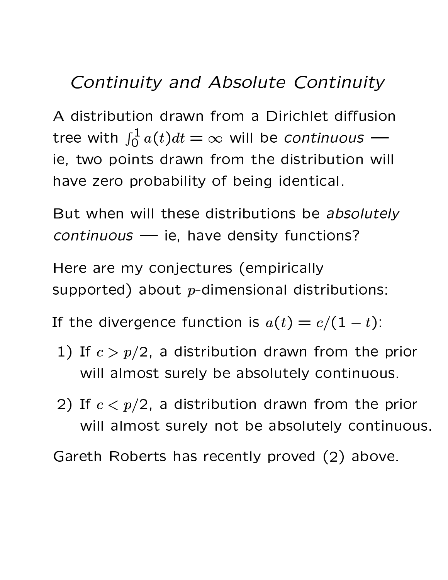## Continuity and Absolute Continuity

A distribution drawn from a Dirichlet diffusion tree with  $\int_0^1 a(t)dt = \infty$  will be continuous ie, two points drawn from the distribution will have zero probability of being identical.

But when will these distributions be absolutely continuous - ie, have density functions?

Here are my conjectures (empirically supported) about  $p$ -dimensional distributions:

If the divergence function is  $a(t) = c/(1-t)$ :

- 1) If  $c > p/2$ , a distribution drawn from the prior will almost surely be absolutely continuous.
- 2) If  $c < p/2$ , a distribution drawn from the prior will almost surely not be absolutely continuous.

Gareth Roberts has recently proved (2) above.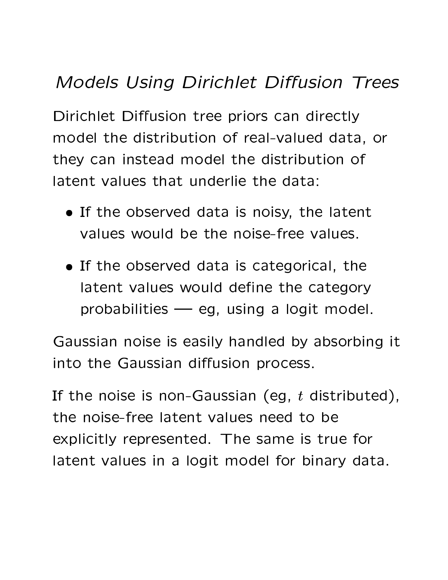## " Z - !"

 \* 99\* MPA ?L7 \*/H(+\*m7=, <sup>7</sup> 9n?j? ?`9@\*m7'9k( M2-, 35\* 9n?HM+7 <sup>A</sup> & model the distribution of real-valued data, or they can instead model the distribution of latent values that underlie the data:

- If the sheep need alote is point the letter t values would be the noise-free values.
- If the sheew sal detain estevenisel the latent values would define the category probabilities  $-$  eg, using a logit model.

Gaussian noise is easily handled by absorbing it into the Gaussian diffusion process.

 e5 7LP? ,475\*R(g? \*6( ,47,Kj <sup>c</sup> 2-/4(J(+\* 2-, e^?4UiT 3Q\*6(87 9@\*A:-/)7c? 3\gLT the noise-free latent values need to be explicitly represented. The same is true for latent values in a logit model for binary data.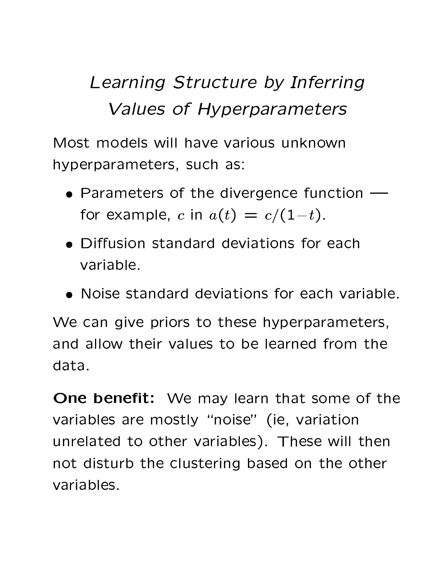## Learning Structure by Inferring Values of Hyperparameters

Most models will have various unknown hyperparameters, such as:

- Parameters of the divergence function  $\overline{\phantom{m}}$ for example, c in  $a(t) = c/(1-t)$ .
- Diffusion standard deviations for each variable.
- Noise standard deviations for each variable.

We can give priors to these hyperparameters, and allow their values to be learned from the data.

**One benefit:** We may learn that some of the variables are mostly "noise" (ie, variation unrelated to other variables). These will then not disturb the clustering based on the other variables.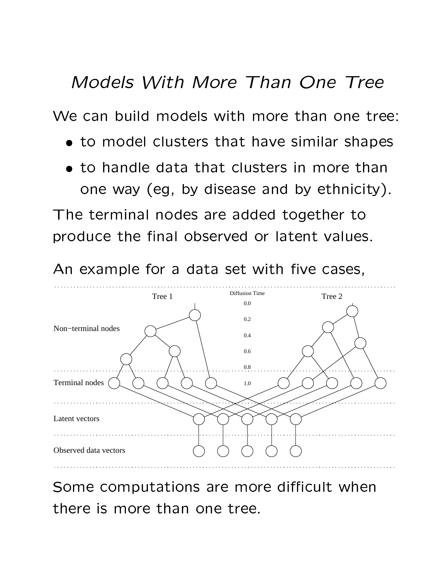#### Models With More Than One Tree

We can build models with more than one tree:

- to model clusters that have similar shapes
- to handle data that clusters in more than one way (eg, by disease and by ethnicity).

The terminal nodes are added together to produce the final observed or latent values.

An example for a data set with five cases,



Some computations are more difficult when there is more than one tree.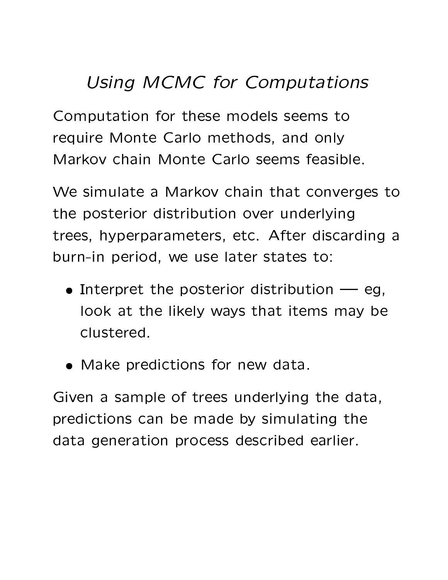### Using MCMC for Computations

Computation for these models seems to require Monte Carlo methods, and only Markov chain Monte Carlo seems feasible.

We simulate a Markov chain that converges to the posterior distribution over underlying trees, hyperparameters, etc. After discarding a burn-in period, we use later states to:

- $\bullet$  Interpret the posterior distribution  $\multimap$  eg, look at the likely ways that items may be clustered.
- Make predictions for new data.

Given a sample of trees underlying the data, predictions can be made by simulating the data generation process described earlier.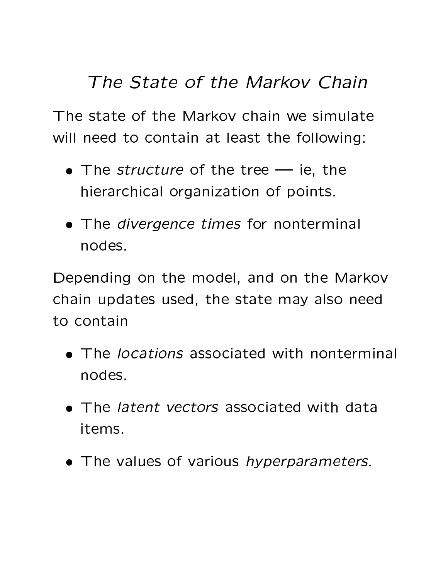## The State of the Markov Chain

The state of the Markoy chain we simulate will need to contain at least the following:

- The *structure* of the tree ie, the hierarchical organization of points.
- The *divergence times* for nonterminal nodes.

Depending on the model, and on the Markov chain updates used, the state may also need to contain

- The locations associated with nonterminal nodes.
- The *latent vectors* associated with data items.
- The values of various hyperparameters.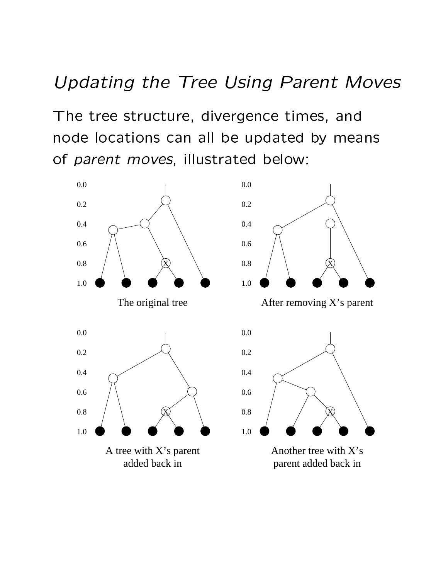#### - -  - +

 $\blacksquare$  . A set of  $\blacksquare$  . A set of  $\blacksquare$  . A set of  $\blacksquare$  . A set of  $\blacksquare$  . A set of  $\blacksquare$ 8 \$ = & \* B8%. <sup>=</sup>8 , ;(\$C& \$ , 8%. of parent moves, illustrated below:

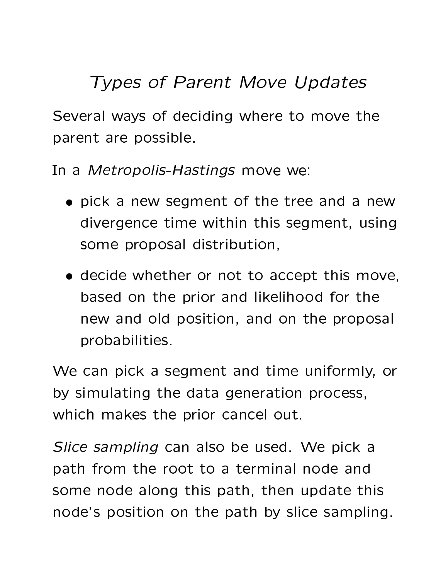### **Types of Parent Move Updates**

Several ways of deciding where to move the parent are possible.

In a Metropolis-Hastings move we:

- pick a new segment of the tree and a new divergence time within this segment, using some proposal distribution,
- · decide whether or not to accept this move, based on the prior and likelihood for the new and old position, and on the proposal probabilities.

We can pick a segment and time uniformly, or by simulating the data generation process, which makes the prior cancel out.

Slice sampling can also be used. We pick a path from the root to a terminal node and some node along this path, then update this node's position on the path by slice sampling.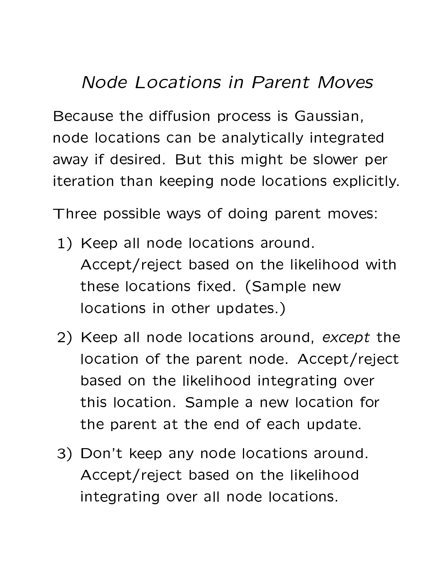### Node Locations in Parent Moves

Because the diffusion process is Gaussian, node locations can be analytically integrated away if desired. But this might be slower per iteration than keeping node locations explicitly.

Three possible ways of doing parent moves:

- 1) Keep all node locations around. Accept/reject based on the likelihood with these locations fixed. (Sample new locations in other updates.)
- 2) Keep all node locations around, except the location of the parent node. Accept/reject based on the likelihood integrating over this location. Sample a new location for the parent at the end of each update.
- 3) Don't keep any node locations around. Accept/reject based on the likelihood integrating over all node locations.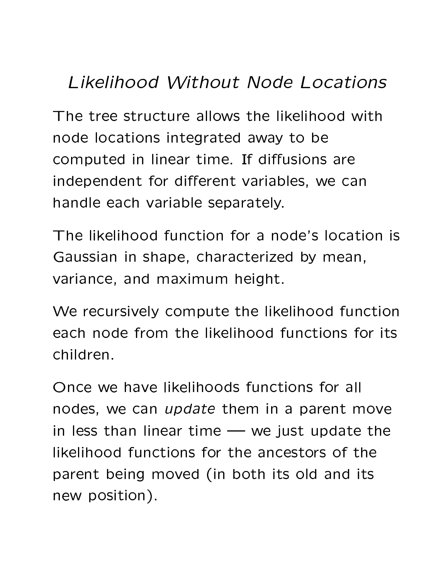## Likelihood Without Node Locations

The tree structure allows the likelihood with node locations integrated away to be computed in linear time. If diffusions are independent for different variables, we can handle each variable separately.

The likelihood function for a node's location is Gaussian in shape, characterized by mean, variance, and maximum height.

We recursively compute the likelihood function each node from the likelihood functions for its children.

Once we have likelihoods functions for all nodes, we can *update* them in a parent move in less than linear time  $\rightarrow$  we just update the likelihood functions for the ancestors of the parent being moved (in both its old and its new position).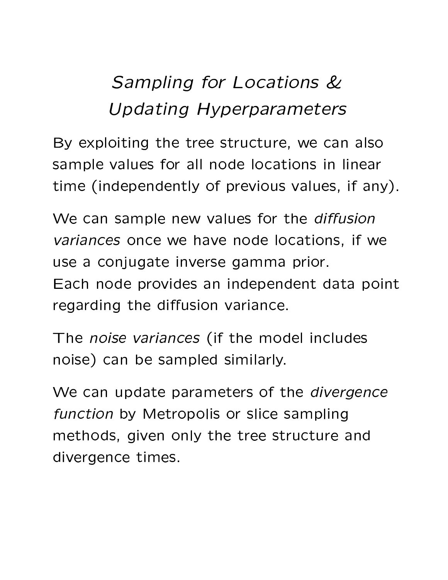## Sampling for Locations & **Updating Hyperparameters**

By exploiting the tree structure, we can also sample values for all node locations in linear time (independently of previous values, if any).

We can sample new values for the diffusion variances once we have node locations, if we use a conjugate inverse gamma prior. Each node provides an independent data point regarding the diffusion variance.

The noise variances (if the model includes noise) can be sampled similarly.

We can update parameters of the *divergence* function by Metropolis or slice sampling methods, given only the tree structure and divergence times.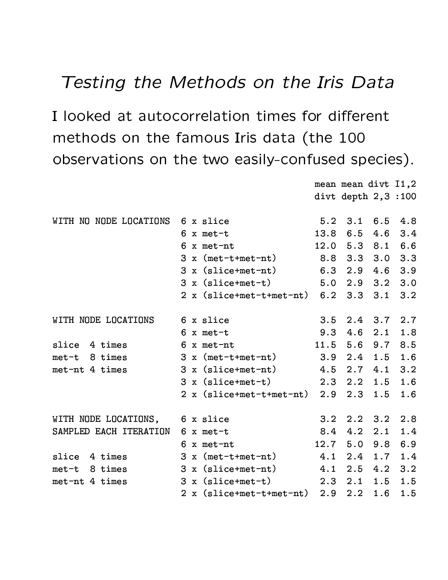#### -

I looked at eutenerrelation times for different  $\mathbf{a} \cdot \mathbf{b}$  $\blacksquare$  . The contract of the contract of the contract of the contract of the contract of the contract of the contract of the contract of the contract of the contract of the contract of the contract of the contract of the

 

divt depth  $2,3$  :100 WITH NO NODE LOCATIONS  $6 \times$  slice  $5.2 \quad 3.1 \quad 6.5 \quad 4.8$ 6 x met-t 13.8 6.5 4.6 3.4 6 x met-nt  $12.0$  5.3 8.1 6.6  $3 \times$  (met-t+met-nt)  $8.8$   $3.3$   $3.0$   $3.3$  $3 \times$  (slice+met-nt)  $6.3$  2.9 4.6 3.9  $3 \times (slice + met - t)$   $5.0 \quad 2.9 \quad 3.2 \quad 3.0$ ;: Or of the late of the contract of the contract of the contract of the contract of the contract of the contract of the contract of the contract of the contract of the contract of the contract of the contract of the contr WITH NODE LOCATIONS  $\qquad$  6 x slice  $\qquad \qquad$  3.5 2.4 3.7 2.7 6 x met-t 9.3 4.6 2.1 1.8 slice 4 times 6 x met-nt 11.5 5.6 9.7 8.5  $met-t$  8 times 3 x (met-t+met-nt)  $3.9$   $2.4$   $1.5$   $1.6$ met-nt 4 times 3 x (slice+met-nt)  $4.5$   $2.7$   $4.1$   $3.2$ 3 x (slice+met-t) 2.3 2.2 1.5 1.6 2 x (slice+met-t+met-nt)  $2.9$   $2.3$   $1.5$   $1.6$ WITH NODE LOCATIONS,  $\overline{6}$  x slice  $\overline{3.2}$  2.2  $\overline{3.2}$  2.8 SAMPLED EACH ITERATION  $6 \times$  met-t  $8.4$  4.2 2.1 1.4 6 x met-nt  $12.7$  5.0 9.8 6.9 slice  $4 \times 3 \times (met-t+met-nt)$  $4.1$  2.4 1.7 1.4 met-t 8 times 3 x (slice+met-nt)  $4.1$  2.5  $4.2$  3.2  $met-nt$  4 times 3 x (slice+met-t) 2.3 2.1 1.5 1.5 ;: OR<@=>@?55P77K 0P773K Q CBDS CBD VBD9 VBDA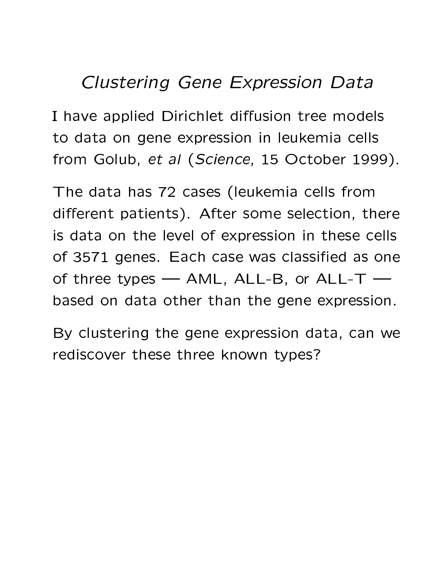#### **Clustering Gene Expression Data**

I have applied Dirichlet diffusion tree models to data on gene expression in leukemia cells from Golub, et al (Science, 15 October 1999).

The data has 72 cases (leukemia cells from different patients). After some selection, there is data on the level of expression in these cells of 3571 genes. Each case was classified as one of three types  $-$  AML, ALL-B, or ALL-T  $$ based on data other than the gene expression.

By clustering the gene expression data, can we rediscover these three known types?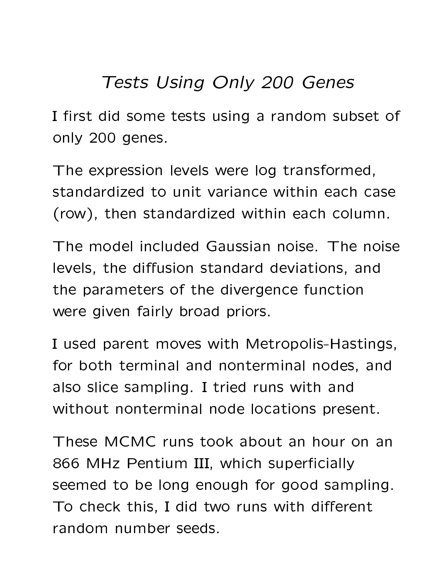### **Tests Using Only 200 Genes**

I first did some tests using a random subset of only 200 genes.

The expression levels were log transformed, standardized to unit variance within each case (row), then standardized within each column.

The model included Gaussian noise. The noise levels, the diffusion standard deviations, and the parameters of the divergence function were given fairly broad priors.

I used parent moves with Metropolis-Hastings, for both terminal and nonterminal nodes, and also slice sampling. I tried runs with and without nonterminal node locations present.

These MCMC runs took about an hour on an 866 MHz Pentium III, which superficially seemed to be long enough for good sampling. To check this, I did two runs with different random number seeds.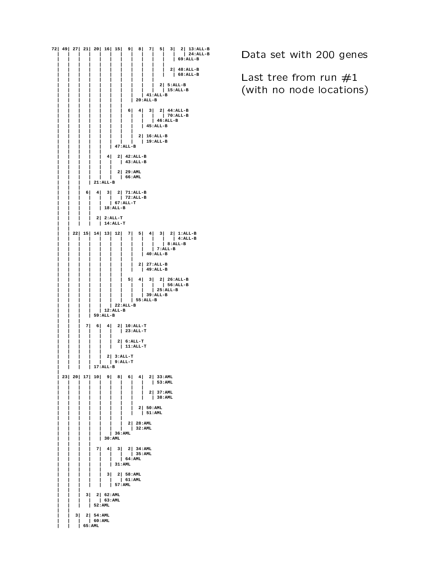**72| 49| 27| 21| 20| 16| 15| 9| 8| 7| 5| 3| 2| 13:ALL-B | | | | | | | | | | | | | 24:ALL-B | | | | | | | | | | | | 69:ALL-B | | | | | | | | | | | | | | | | | | | | | | 2| 48:ALL-B | | | | | | | | | | | | 68:ALL-B | | | | | | | | | | | | | | | | | | | | 2| 5:ALL-B | | | | | | | | | | | 15:ALL-B | | | | | | | | | 41:ALL-B | | | | | | | | 20:ALL-B | | | | | | | | | | | | | | 6| 4| 3| 2| 44:ALL-B | | | | | | | | | | | 70:ALL-B | | | | | | | | | | 46:ALL-B | | | | | | | | | 45:ALL-B | | | | | | | | | | | | | | | | 2| 16:ALL-B | | | | | | | | | 19:ALL-B | | | | | | 47:ALL-B | | | | | | | | | | 4| 2| 42:ALL-B | | | | | | | 43:ALL-B | | | | | | | | | | | | 2| 29:AML | | | | | | | 66:AML**  $| 21:ALL-B$ **| | | | | | 6| 4| 3| 2| 71:ALL-B | | | | | | | 72:ALL-B | | | | | | 67:ALL-T | | | | | 18:ALL-B | | | | | | | | 2| 2:ALL-T | | | | | 14:ALL-T | | | | 22| 15| 14| 13| 12| 7| 5| 4| 3| 2| 1:ALL-B | | | | | | | | | | | | 4:ALL-B | | | | | | | | | | | 8:ALL-B | | | | | | | | | | 7:ALL-B | | | | | | | | | 40:ALL-B | | | | | | | | | | | | | | | | 2| 27:ALL-B | | | | | | | | | 49:ALL-B | | | | | | | | | | | | | | 5| 4| 3| 2| 26:ALL-B | | | | | | | | | | | 56:ALL-B | | | | | | | | | | 25:ALL-B | | | | | | | | | 39:ALL-B | | | | | | | | 55:ALL-B | | | | | | 22:ALL-B | | | | | 12:ALL-B | | | | 59:ALL-B | | | | | | 7| 6| 4| 2| 10:ALL-T | | | | | | | 23:ALL-T | | | | | | | | | | | | 2| 6:ALL-T | | | | | | | 11:ALL-T | | | | | | | | | | 2| 3:ALL-T | | | | | | 9:ALL-T | | | | 17:ALL-B | | 23| 20| 17| 10| 9| 8| 6| 4| 2| 33:AML | | | | | | | | | | 53:AML | | | | | | | | | | | | | | | | | | 2| 37:AML | | | | | | | | | | 38:AML | | | | | | | | | | | | | | | | 2| 50:AML | | | | | | | | | 51:AML | | | | | | | | | | | | | | 2| 28:AML | | | | | | | | 32:AML | | | | | | 36:AML | | | | | 30:AML | | | | | | | | 7| 4| 3| 2| 34:AML | | | | | | | | 35:AML | | | | | | | 64:AML | | | | | | 31:AML | | | | | | | | | | 3| 2| 58:AML | | | | | | | 61:AML | | | | | | 57:AML | | | | | | 3| 2| 62:AML | | | | | 63:AML | | | | 52:AML | | | | 3| 2| 54:AML | | | | 60:AML | | | 65:AML**

- 

Last tree from run  $\#1$ . /0# 1#32)54#3617
8#&:9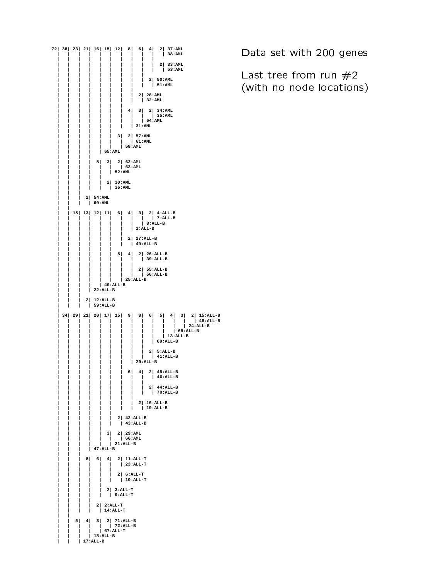

- 

Last tree from run  $\#2$ . /0# 1#32)54#3617
8#&:9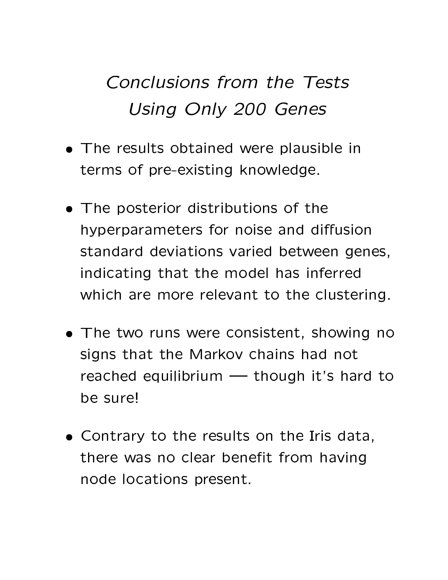## Conclusions from the Tests **Using Only 200 Genes**

- The results obtained were plausible in terms of pre-existing knowledge.
- The posterior distributions of the hyperparameters for noise and diffusion standard deviations varied between genes, indicating that the model has inferred which are more relevant to the clustering.
- The two runs were consistent, showing no signs that the Markoy chains had not reached equilibrium - though it's hard to be sure!
- Contrary to the results on the Iris data, there was no clear benefit from having node locations present.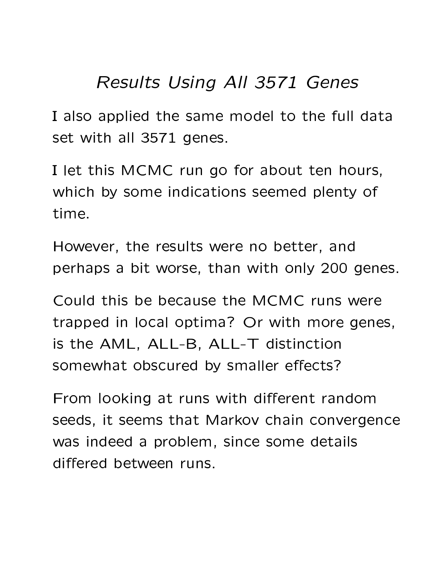#### **Results Using All 3571 Genes**

I also applied the same model to the full data set with all 3571 genes.

I let this MCMC run go for about ten hours, which by some indications seemed plenty of time.

However, the results were no better, and perhaps a bit worse, than with only 200 genes.

Could this be because the MCMC runs were trapped in local optima? Or with more genes, is the AML, ALL-B, ALL-T distinction somewhat obscured by smaller effects?

From looking at runs with different random seeds, it seems that Markov chain convergence was indeed a problem, since some details differed between runs.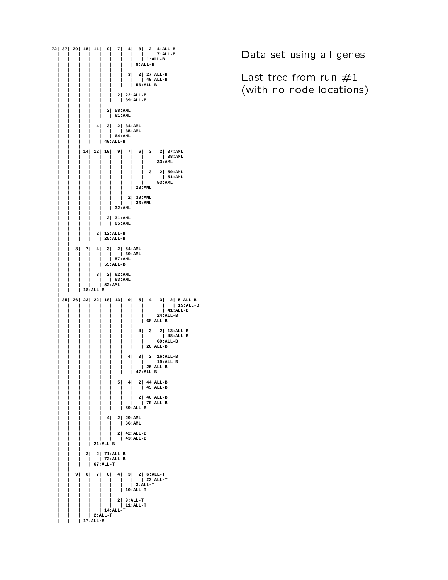**72| 37| 29| 15| 11| 9| 7| 4| 3| 2| 4:ALL-B | | | | | | | | | | 7:ALL-B | | | | | | | | | 1:ALL-B | | | | | | | | 8:ALL-B | | | | | | | | | | | | | | 3| 2| 27:ALL-B | | | | | | | | | 49:ALL-B | | | | | | | | 56:ALL-B | | | | | | | | | | | | 2| 22:ALL-B | | | | | | | 39:ALL-B | | | | | | | | | | 2| 58:AML | | | | | | 61:AML | | | | | | | | 4| 3| 2| 34:AML | | | | | | | 35:AML | | | | | | 64:AML | | | | | 40:ALL-B | | | | | | 14| 12| 10| 9| 7| 6| 3| 2| 37:AML | | | | | | | | | | | 38:AML | | | | | | | | | | 33:AML | | | | | | | | | | | | | | | | | | 3| 2| 50:AML | | | | | | | | | | | 51:AML | | | | | | | | | | 53:AML | | 28:AML<br>|**<br>| 2| 30:AML **| | | | | | | | | | | | | | 2| 30:AML | | | | | | | | 36:AML | | | | | | 32:AML | | | | | | | | | | 2| 31:AML | | | | | | 65:AML | | | | | | | | 2| 12:ALL-B | | | | | 25:ALL-B | | | | 8| 7| 4| 3| 2| 54:AML | | | | | | | 60:AML | | | | | | 57:AML | | | | | 55:ALL-B | | | | | | | | 3| 2| 62:AML | | | | | | 63:AML | | | | | 52:AML | | | 18:ALL-B | | 35| 26| 23| 22| 18| 13| 9| 5| 4| 3| 2| 5:ALL-B | | | | | | | | | | | | 15:ALL-B | | | | | | | | | | | 41:ALL-B | | | | | | | | | | 24:ALL-B | | | | | | | | | 68:ALL-B | | | | | | | | | | | | | | | | 4| 3| 2| 13:ALL-B | | | | | | | | | | | 48:ALL-B | | | | | | | | | | 69:ALL-B | | | | | | | | | 20:ALL-B | | | | | | | | | | | | | | 4| 3| 2| 16:ALL-B | | | | | | | | | | 19:ALL-B | | | | | | | | | 26:ALL-B | | | | | | | | 47:ALL-B | | | | | | | | | | | | 5| 4| 2| 44:ALL-B | | | | | | | | | 45:ALL-B | | | | | | | | | | | | | | | | 2| 46:ALL-B | | | | | | | | | 70:ALL-B | | | | | | | 59:ALL-B | | | | | | | | | | 4| 2| 29:AML | | | | | | | 66:AML | | | | | | | | | | | | 2| 42:ALL-B | | | | | | | 43:ALL-B | | | | 21:ALL-B | | | | | | 3| 2| 71:ALL-B | | | | | 72:ALL-B | | | | 67:ALL-T | | | | 9| 8| 7| 6| 4| 3| 2| 6:ALL-T | | | | | | | | | 23:ALL-T | | | | | | | | 3:ALL-T | | | | | | | 10:ALL-T | | | | | | | | | | | | 2| 9:ALL-T | | | | | | | 11:ALL-T | | | | | 14:ALL-T | | | | 2:ALL-T | | | 17:ALL-B**

Data set using all genes

Last tree from run  $\#1$ . /0# 1#32)54#3617
8#&:9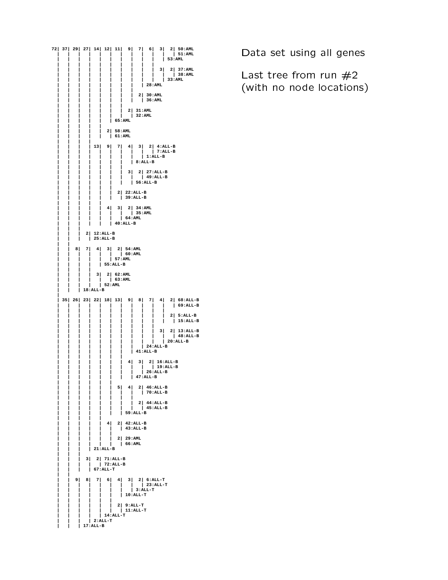![](_page_30_Figure_0.jpeg)

Data set using all genes the set of the set of the set of the set of the Data S

Last tree from run  $\#2$ . /0# 1#32)54#3617
8#&:9